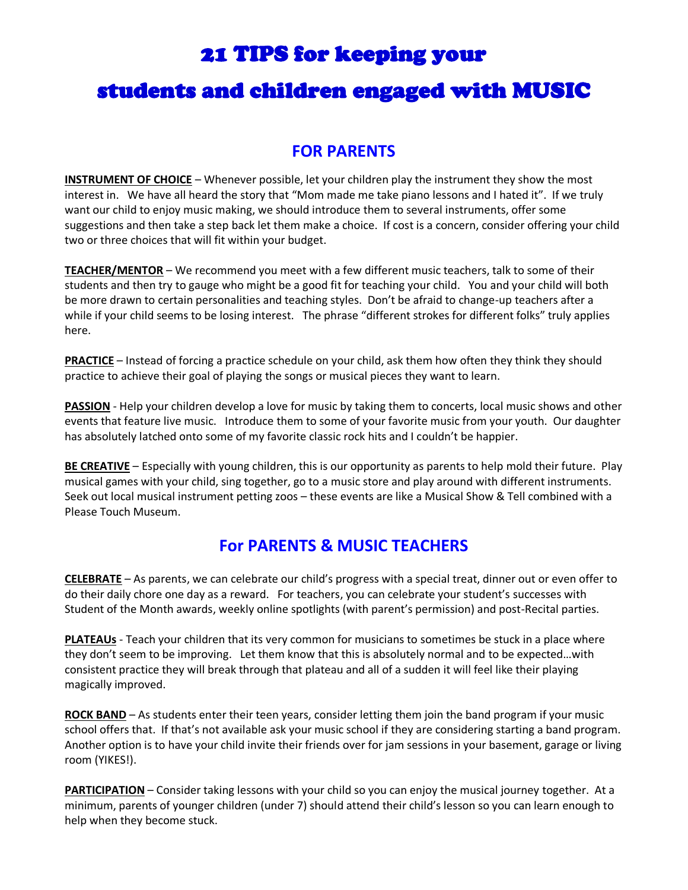### 21 TIPS for keeping your

## students and children engaged with MUSIC

#### **FOR PARENTS**

**INSTRUMENT OF CHOICE** – Whenever possible, let your children play the instrument they show the most interest in. We have all heard the story that "Mom made me take piano lessons and I hated it". If we truly want our child to enjoy music making, we should introduce them to several instruments, offer some suggestions and then take a step back let them make a choice. If cost is a concern, consider offering your child two or three choices that will fit within your budget.

**TEACHER/MENTOR** – We recommend you meet with a few different music teachers, talk to some of their students and then try to gauge who might be a good fit for teaching your child. You and your child will both be more drawn to certain personalities and teaching styles. Don't be afraid to change-up teachers after a while if your child seems to be losing interest. The phrase "different strokes for different folks" truly applies here.

**PRACTICE** – Instead of forcing a practice schedule on your child, ask them how often they think they should practice to achieve their goal of playing the songs or musical pieces they want to learn.

**PASSION** - Help your children develop a love for music by taking them to concerts, local music shows and other events that feature live music. Introduce them to some of your favorite music from your youth. Our daughter has absolutely latched onto some of my favorite classic rock hits and I couldn't be happier.

**BE CREATIVE** – Especially with young children, this is our opportunity as parents to help mold their future. Play musical games with your child, sing together, go to a music store and play around with different instruments. Seek out local musical instrument petting zoos – these events are like a Musical Show & Tell combined with a Please Touch Museum.

#### **For PARENTS & MUSIC TEACHERS**

**CELEBRATE** – As parents, we can celebrate our child's progress with a special treat, dinner out or even offer to do their daily chore one day as a reward. For teachers, you can celebrate your student's successes with Student of the Month awards, weekly online spotlights (with parent's permission) and post-Recital parties.

**PLATEAUs** - Teach your children that its very common for musicians to sometimes be stuck in a place where they don't seem to be improving. Let them know that this is absolutely normal and to be expected…with consistent practice they will break through that plateau and all of a sudden it will feel like their playing magically improved.

**ROCK BAND** – As students enter their teen years, consider letting them join the band program if your music school offers that. If that's not available ask your music school if they are considering starting a band program. Another option is to have your child invite their friends over for jam sessions in your basement, garage or living room (YIKES!).

**PARTICIPATION** – Consider taking lessons with your child so you can enjoy the musical journey together. At a minimum, parents of younger children (under 7) should attend their child's lesson so you can learn enough to help when they become stuck.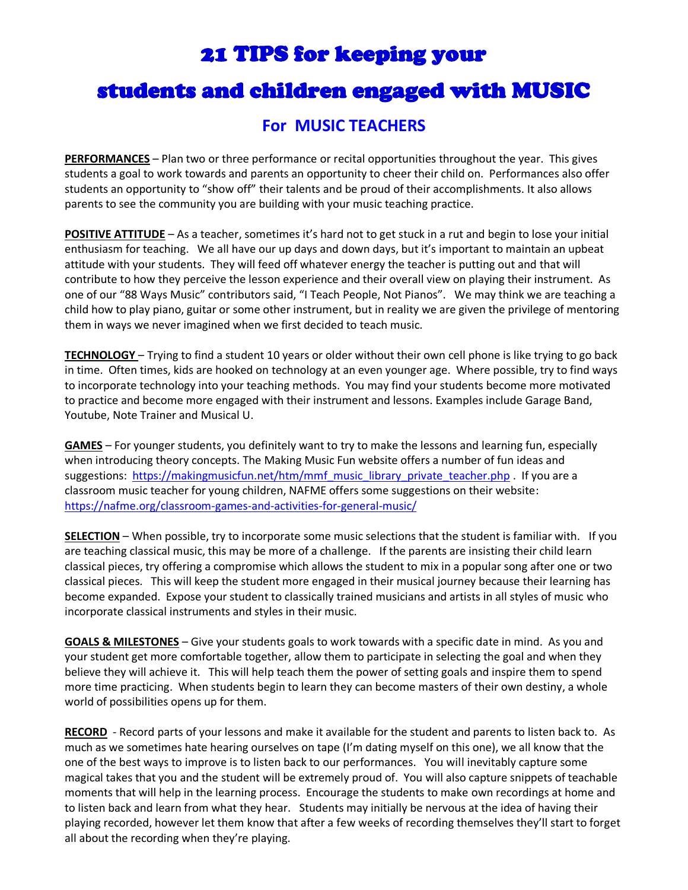### 21 TIPS for keeping your

## students and children engaged with MUSIC

#### **For MUSIC TEACHERS**

**PERFORMANCES** – Plan two or three performance or recital opportunities throughout the year. This gives students a goal to work towards and parents an opportunity to cheer their child on. Performances also offer students an opportunity to "show off" their talents and be proud of their accomplishments. It also allows parents to see the community you are building with your music teaching practice.

**POSITIVE ATTITUDE** – As a teacher, sometimes it's hard not to get stuck in a rut and begin to lose your initial enthusiasm for teaching. We all have our up days and down days, but it's important to maintain an upbeat attitude with your students. They will feed off whatever energy the teacher is putting out and that will contribute to how they perceive the lesson experience and their overall view on playing their instrument. As one of our "88 Ways Music" contributors said, "I Teach People, Not Pianos". We may think we are teaching a child how to play piano, guitar or some other instrument, but in reality we are given the privilege of mentoring them in ways we never imagined when we first decided to teach music.

**TECHNOLOGY** – Trying to find a student 10 years or older without their own cell phone is like trying to go back in time. Often times, kids are hooked on technology at an even younger age. Where possible, try to find ways to incorporate technology into your teaching methods. You may find your students become more motivated to practice and become more engaged with their instrument and lessons. Examples include Garage Band, Youtube, Note Trainer and Musical U.

**GAMES** – For younger students, you definitely want to try to make the lessons and learning fun, especially when introducing theory concepts. The Making Music Fun website offers a number of fun ideas and suggestions: [https://makingmusicfun.net/htm/mmf\\_music\\_library\\_private\\_teacher.php](https://makingmusicfun.net/htm/mmf_music_library_private_teacher.php) . If you are a classroom music teacher for young children, NAFME offers some suggestions on their website: <https://nafme.org/classroom-games-and-activities-for-general-music/>

**SELECTION** – When possible, try to incorporate some music selections that the student is familiar with. If you are teaching classical music, this may be more of a challenge. If the parents are insisting their child learn classical pieces, try offering a compromise which allows the student to mix in a popular song after one or two classical pieces. This will keep the student more engaged in their musical journey because their learning has become expanded. Expose your student to classically trained musicians and artists in all styles of music who incorporate classical instruments and styles in their music.

**GOALS & MILESTONES** – Give your students goals to work towards with a specific date in mind. As you and your student get more comfortable together, allow them to participate in selecting the goal and when they believe they will achieve it. This will help teach them the power of setting goals and inspire them to spend more time practicing. When students begin to learn they can become masters of their own destiny, a whole world of possibilities opens up for them.

**RECORD** - Record parts of your lessons and make it available for the student and parents to listen back to. As much as we sometimes hate hearing ourselves on tape (I'm dating myself on this one), we all know that the one of the best ways to improve is to listen back to our performances. You will inevitably capture some magical takes that you and the student will be extremely proud of. You will also capture snippets of teachable moments that will help in the learning process. Encourage the students to make own recordings at home and to listen back and learn from what they hear. Students may initially be nervous at the idea of having their playing recorded, however let them know that after a few weeks of recording themselves they'll start to forget all about the recording when they're playing.